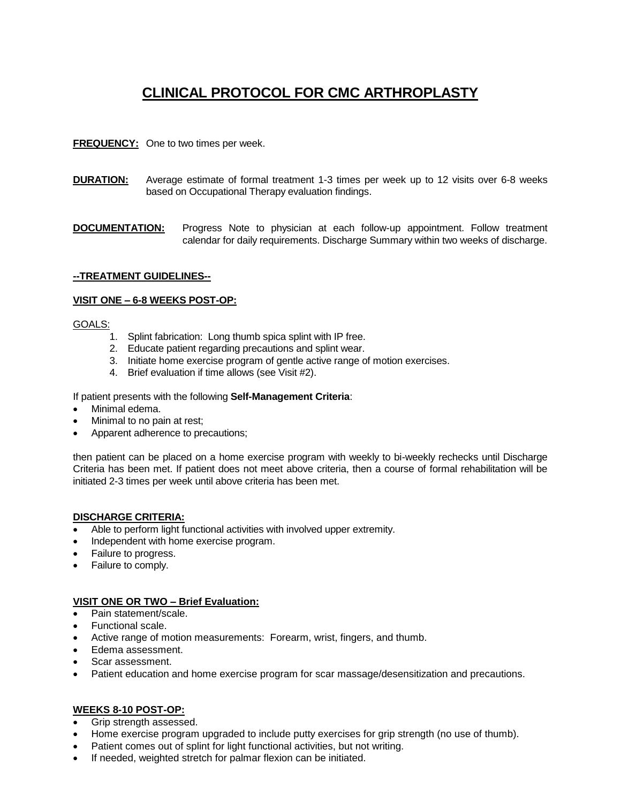# **CLINICAL PROTOCOL FOR CMC ARTHROPLASTY**

## **FREQUENCY:** One to two times per week.

- **DURATION:** Average estimate of formal treatment 1-3 times per week up to 12 visits over 6-8 weeks based on Occupational Therapy evaluation findings.
- **DOCUMENTATION:** Progress Note to physician at each follow-up appointment. Follow treatment calendar for daily requirements. Discharge Summary within two weeks of discharge.

## **--TREATMENT GUIDELINES--**

#### **VISIT ONE – 6-8 WEEKS POST-OP:**

#### GOALS:

- 1. Splint fabrication: Long thumb spica splint with IP free.
- 2. Educate patient regarding precautions and splint wear.
- 3. Initiate home exercise program of gentle active range of motion exercises.
- 4. Brief evaluation if time allows (see Visit #2).

#### If patient presents with the following **Self-Management Criteria**:

- Minimal edema.
- Minimal to no pain at rest;
- Apparent adherence to precautions;

then patient can be placed on a home exercise program with weekly to bi-weekly rechecks until Discharge Criteria has been met. If patient does not meet above criteria, then a course of formal rehabilitation will be initiated 2-3 times per week until above criteria has been met.

#### **DISCHARGE CRITERIA:**

- Able to perform light functional activities with involved upper extremity.
- Independent with home exercise program.
- Failure to progress.
- Failure to comply.

## **VISIT ONE OR TWO – Brief Evaluation:**

- Pain statement/scale.
- Functional scale.
- Active range of motion measurements: Forearm, wrist, fingers, and thumb.
- Edema assessment.
- Scar assessment.
- Patient education and home exercise program for scar massage/desensitization and precautions.

## **WEEKS 8-10 POST-OP:**

- Grip strength assessed.
- Home exercise program upgraded to include putty exercises for grip strength (no use of thumb).
- Patient comes out of splint for light functional activities, but not writing.
- If needed, weighted stretch for palmar flexion can be initiated.